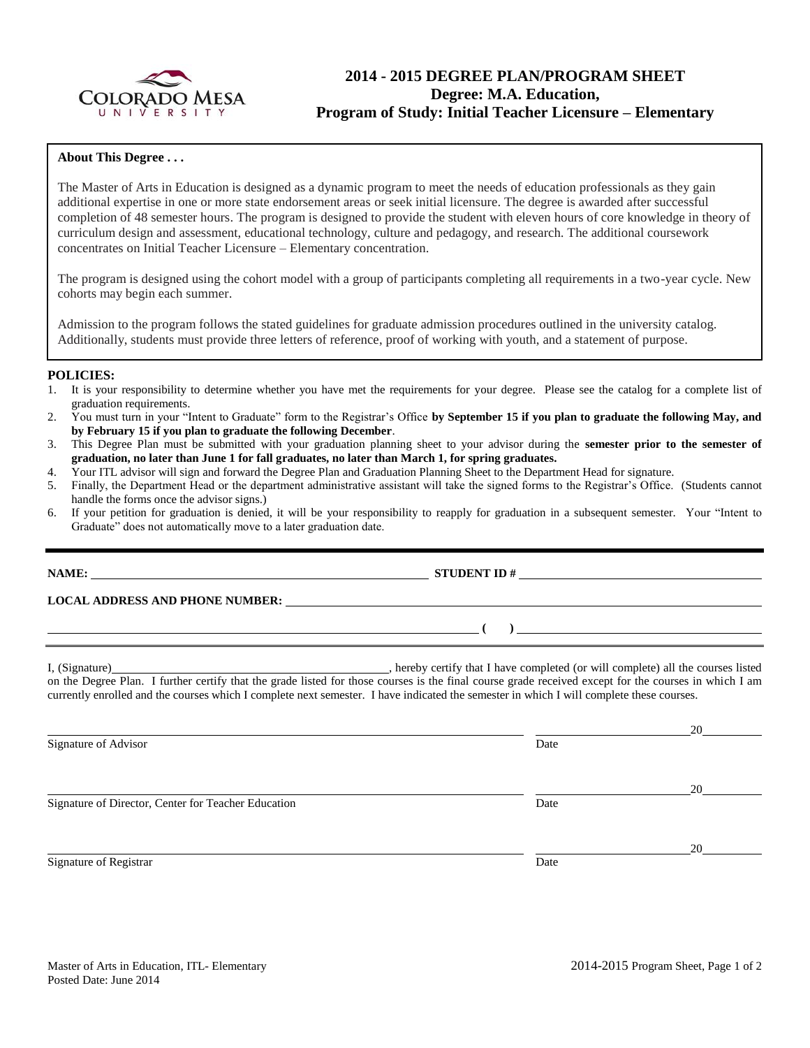

## **2014 - 2015 DEGREE PLAN/PROGRAM SHEET Degree: M.A. Education, Program of Study: Initial Teacher Licensure – Elementary**

### **About This Degree . . .**

The Master of Arts in Education is designed as a dynamic program to meet the needs of education professionals as they gain additional expertise in one or more state endorsement areas or seek initial licensure. The degree is awarded after successful completion of 48 semester hours. The program is designed to provide the student with eleven hours of core knowledge in theory of curriculum design and assessment, educational technology, culture and pedagogy, and research. The additional coursework concentrates on Initial Teacher Licensure – Elementary concentration.

The program is designed using the cohort model with a group of participants completing all requirements in a two-year cycle. New cohorts may begin each summer.

Admission to the program follows the stated guidelines for graduate admission procedures outlined in the university catalog. Additionally, students must provide three letters of reference, proof of working with youth, and a statement of purpose.

#### **POLICIES:**

- 1. It is your responsibility to determine whether you have met the requirements for your degree. Please see the catalog for a complete list of graduation requirements.
- 2. You must turn in your "Intent to Graduate" form to the Registrar's Office **by September 15 if you plan to graduate the following May, and by February 15 if you plan to graduate the following December**.
- 3. This Degree Plan must be submitted with your graduation planning sheet to your advisor during the **semester prior to the semester of graduation, no later than June 1 for fall graduates, no later than March 1, for spring graduates.**
- 4. Your ITL advisor will sign and forward the Degree Plan and Graduation Planning Sheet to the Department Head for signature.
- 5. Finally, the Department Head or the department administrative assistant will take the signed forms to the Registrar's Office. (Students cannot handle the forms once the advisor signs.)
- 6. If your petition for graduation is denied, it will be your responsibility to reapply for graduation in a subsequent semester. Your "Intent to Graduate" does not automatically move to a later graduation date.

#### **NAME: STUDENT ID # STUDENT ID # STUDENT ID # STUDENT ID # STUDENT ID # STUDENT ID # STUDENT ID # STUDENT ID # STUDENT ID # STUDENT ID # STUDENT ID # STUDENT ID # STUDENT ID # STUDENT ID # STU**

**LOCAL ADDRESS AND PHONE NUMBER:**

I, (Signature) , hereby certify that I have completed (or will complete) all the courses listed on the Degree Plan. I further certify that the grade listed for those courses is the final course grade received except for the courses in which I am currently enrolled and the courses which I complete next semester. I have indicated the semester in which I will complete these courses.

 20 Signature of Advisor Date 20 Signature of Director, Center for Teacher Education Date 20 Signature of Registrar Date

**( )**